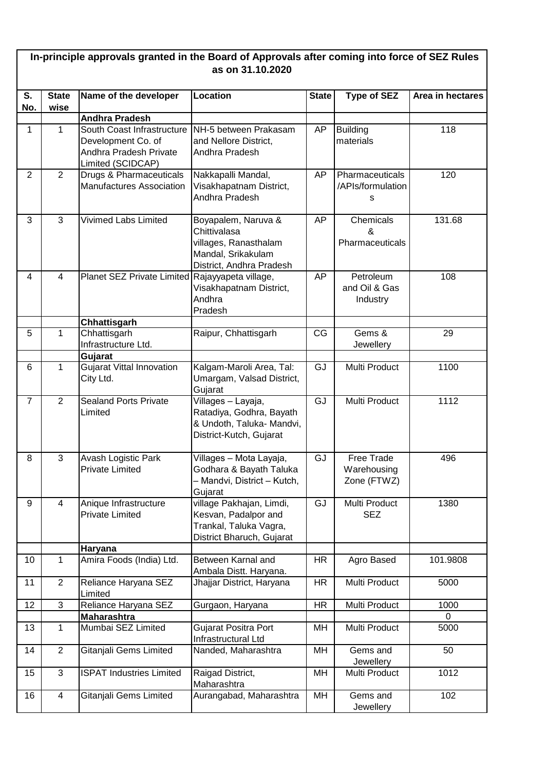| In-principle approvals granted in the Board of Approvals after coming into force of SEZ Rules<br>as on 31.10.2020 |                      |                                                                                                 |                                                                                                                |              |                                           |                  |  |  |  |
|-------------------------------------------------------------------------------------------------------------------|----------------------|-------------------------------------------------------------------------------------------------|----------------------------------------------------------------------------------------------------------------|--------------|-------------------------------------------|------------------|--|--|--|
| S.<br>No.                                                                                                         | <b>State</b><br>wise | Name of the developer                                                                           | Location                                                                                                       | <b>State</b> | <b>Type of SEZ</b>                        | Area in hectares |  |  |  |
|                                                                                                                   |                      | <b>Andhra Pradesh</b>                                                                           |                                                                                                                |              |                                           |                  |  |  |  |
| 1                                                                                                                 | 1                    | South Coast Infrastructure<br>Development Co. of<br>Andhra Pradesh Private<br>Limited (SCIDCAP) | NH-5 between Prakasam<br>and Nellore District,<br>Andhra Pradesh                                               | AP           | <b>Building</b><br>materials              | 118              |  |  |  |
| $\overline{2}$                                                                                                    | $\overline{2}$       | Drugs & Pharmaceuticals<br>Manufactures Association                                             | Nakkapalli Mandal,<br>Visakhapatnam District,<br>Andhra Pradesh                                                | AP           | Pharmaceuticals<br>/APIs/formulation<br>s | 120              |  |  |  |
| 3                                                                                                                 | 3                    | <b>Vivimed Labs Limited</b>                                                                     | Boyapalem, Naruva &<br>Chittivalasa<br>villages, Ranasthalam<br>Mandal, Srikakulam<br>District, Andhra Pradesh | AP           | Chemicals<br>&<br>Pharmaceuticals         | 131.68           |  |  |  |
| $\overline{4}$                                                                                                    | $\overline{4}$       | Planet SEZ Private Limited Rajayyapeta village,                                                 | Visakhapatnam District,<br>Andhra<br>Pradesh                                                                   | AP           | Petroleum<br>and Oil & Gas<br>Industry    | 108              |  |  |  |
|                                                                                                                   |                      | Chhattisgarh                                                                                    |                                                                                                                |              |                                           |                  |  |  |  |
| 5                                                                                                                 | 1                    | Chhattisgarh<br>Infrastructure Ltd.                                                             | Raipur, Chhattisgarh                                                                                           | CG           | Gems &<br>Jewellery                       | 29               |  |  |  |
|                                                                                                                   | $\mathbf{1}$         | Gujarat                                                                                         |                                                                                                                |              |                                           |                  |  |  |  |
| 6                                                                                                                 |                      | Gujarat Vittal Innovation<br>City Ltd.                                                          | Kalgam-Maroli Area, Tal:<br>Umargam, Valsad District,<br>Gujarat                                               | GJ           | Multi Product                             | 1100             |  |  |  |
| $\overline{7}$                                                                                                    | $\overline{2}$       | <b>Sealand Ports Private</b><br>Limited                                                         | Villages - Layaja,<br>Ratadiya, Godhra, Bayath<br>& Undoth, Taluka- Mandvi,<br>District-Kutch, Gujarat         | GJ           | Multi Product                             | 1112             |  |  |  |
| 8                                                                                                                 | 3                    | <b>Avash Logistic Park</b><br><b>Private Limited</b>                                            | Villages - Mota Layaja,<br>Godhara & Bayath Taluka<br>- Mandvi, District - Kutch,<br>Gujarat                   | GJ           | Free Trade<br>Warehousing<br>Zone (FTWZ)  | 496              |  |  |  |
| 9                                                                                                                 | $\overline{4}$       | Anique Infrastructure<br><b>Private Limited</b>                                                 | village Pakhajan, Limdi,<br>Kesvan, Padalpor and<br>Trankal, Taluka Vagra,<br>District Bharuch, Gujarat        | GJ           | Multi Product<br><b>SEZ</b>               | 1380             |  |  |  |
|                                                                                                                   |                      | Haryana                                                                                         |                                                                                                                |              |                                           |                  |  |  |  |
| 10                                                                                                                | $\mathbf{1}$         | Amira Foods (India) Ltd.                                                                        | Between Karnal and<br>Ambala Distt. Haryana.                                                                   | <b>HR</b>    | Agro Based                                | 101.9808         |  |  |  |
| 11                                                                                                                | $\overline{2}$       | Reliance Haryana SEZ<br>Limited                                                                 | Jhajjar District, Haryana                                                                                      | <b>HR</b>    | Multi Product                             | 5000             |  |  |  |
| 12                                                                                                                | $\overline{3}$       | Reliance Haryana SEZ                                                                            | Gurgaon, Haryana                                                                                               | <b>HR</b>    | Multi Product                             | 1000<br>$\Omega$ |  |  |  |
| 13                                                                                                                | 1                    | <b>Maharashtra</b><br>Mumbai SEZ Limited                                                        | Gujarat Positra Port<br>Infrastructural Ltd                                                                    | MH           | Multi Product                             | 5000             |  |  |  |
| 14                                                                                                                | $\overline{2}$       | <b>Gitanjali Gems Limited</b>                                                                   | Nanded, Maharashtra                                                                                            | MH           | Gems and<br>Jewellery                     | 50               |  |  |  |
| 15                                                                                                                | $\mathbf{3}$         | <b>ISPAT Industries Limited</b>                                                                 | Raigad District,<br>Maharashtra                                                                                | MH           | Multi Product                             | 1012             |  |  |  |
| 16                                                                                                                | $\overline{4}$       | Gitanjali Gems Limited                                                                          | Aurangabad, Maharashtra                                                                                        | MH           | Gems and<br>Jewellery                     | 102              |  |  |  |